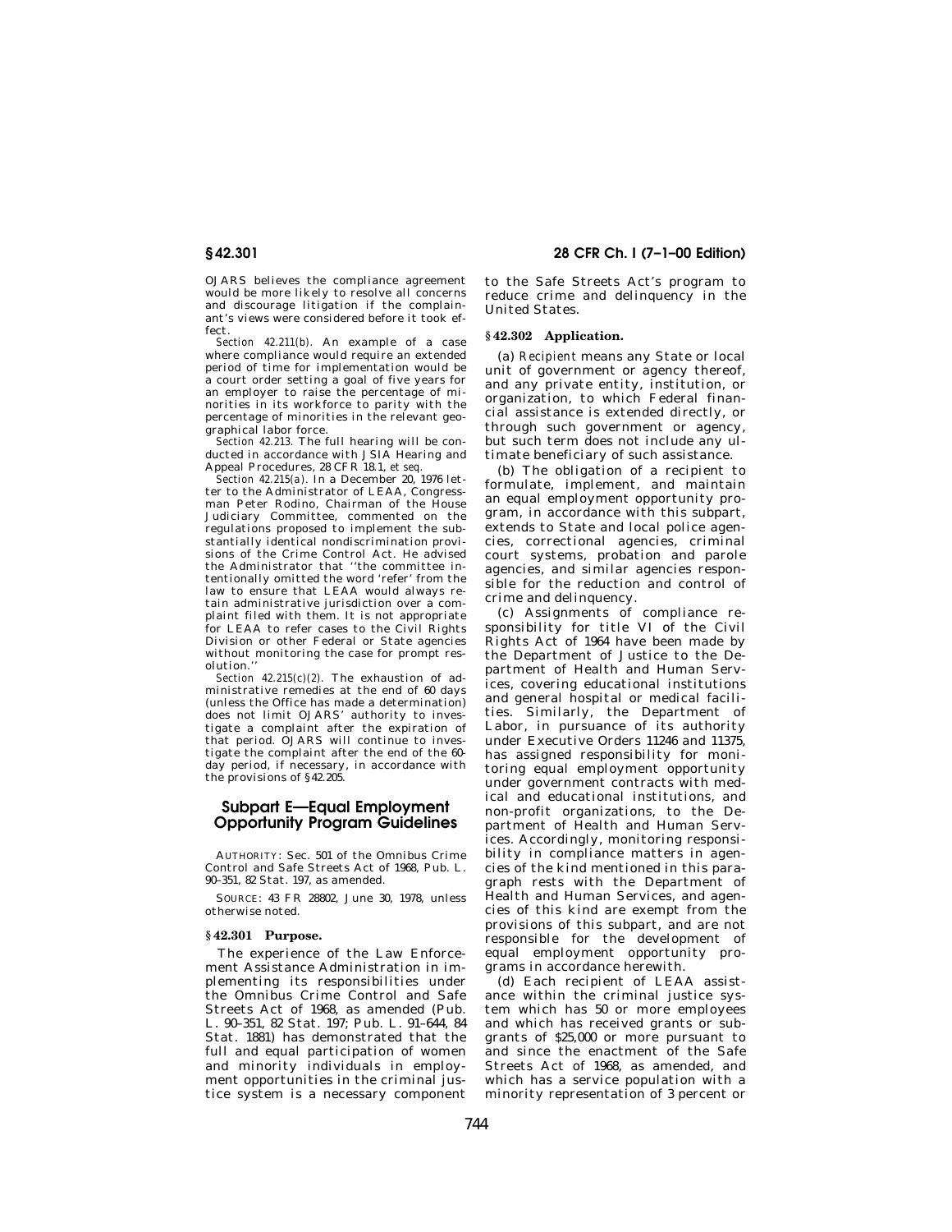OJARS believes the compliance agreement would be more likely to resolve all concerns and discourage litigation if the complainant's views were considered before it took effect.

*Section 42.211(b).* An example of a case where compliance would require an extended period of time for implementation would be a court order setting a goal of five years for an employer to raise the percentage of minorities in its workforce to parity with the percentage of minorities in the relevant geographical labor force.

*Section 42.213.* The full hearing will be conducted in accordance with JSIA Hearing and Appeal Procedures, 28 CFR 18.1, *et seq.*

*Section 42.215(a).* In a December 20, 1976 letter to the Administrator of LEAA, Congressman Peter Rodino, Chairman of the House Judiciary Committee, commented on the regulations proposed to implement the substantially identical nondiscrimination provisions of the Crime Control Act. He advised the Administrator that ''the committee intentionally omitted the word 'refer' from the law to ensure that LEAA would always retain administrative jurisdiction over a complaint filed with them. It is not appropriate for LEAA to refer cases to the Civil Rights Division or other Federal or State agencies without monitoring the case for prompt resolution.''

*Section 42.215(c)(2)*. The exhaustion of administrative remedies at the end of 60 days (unless the Office has made a determination) does not limit OJARS' authority to investigate a complaint after the expiration of that period. OJARS will continue to investigate the complaint after the end of the 60 day period, if necessary, in accordance with the provisions of §42.205.

# **Subpart E—Equal Employment Opportunity Program Guidelines**

AUTHORITY: Sec. 501 of the Omnibus Crime Control and Safe Streets Act of 1968, Pub. L. 90–351, 82 Stat. 197, as amended.

SOURCE: 43 FR 28802, June 30, 1978, unless otherwise noted.

### **§ 42.301 Purpose.**

The experience of the Law Enforcement Assistance Administration in implementing its responsibilities under the Omnibus Crime Control and Safe Streets Act of 1968, as amended (Pub. L. 90–351, 82 Stat. 197; Pub. L. 91–644, 84 Stat. 1881) has demonstrated that the full and equal participation of women and minority individuals in employment opportunities in the criminal justice system is a necessary component

**§ 42.301 28 CFR Ch. I (7–1–00 Edition)**

to the Safe Streets Act's program to reduce crime and delinquency in the United States.

### **§ 42.302 Application.**

(a) *Recipient* means any State or local unit of government or agency thereof, and any private entity, institution, or organization, to which Federal financial assistance is extended directly, or through such government or agency, but such term does not include any ultimate beneficiary of such assistance.

(b) The obligation of a recipient to formulate, implement, and maintain an equal employment opportunity program, in accordance with this subpart, extends to State and local police agencies, correctional agencies, criminal court systems, probation and parole agencies, and similar agencies responsible for the reduction and control of crime and delinquency.

(c) Assignments of compliance responsibility for title VI of the Civil Rights Act of 1964 have been made by the Department of Justice to the Department of Health and Human Services, covering educational institutions and general hospital or medical facilities. Similarly, the Department of Labor, in pursuance of its authority under Executive Orders 11246 and 11375, has assigned responsibility for monitoring equal employment opportunity under government contracts with medical and educational institutions, and non-profit organizations, to the Department of Health and Human Services. Accordingly, monitoring responsibility in compliance matters in agencies of the kind mentioned in this paragraph rests with the Department of Health and Human Services, and agencies of this kind are exempt from the provisions of this subpart, and are not responsible for the development of equal employment opportunity programs in accordance herewith.

(d) Each recipient of LEAA assistance within the criminal justice system which has 50 or more employees and which has received grants or subgrants of \$25,000 or more pursuant to and since the enactment of the Safe Streets Act of 1968, as amended, and which has a service population with a minority representation of 3 percent or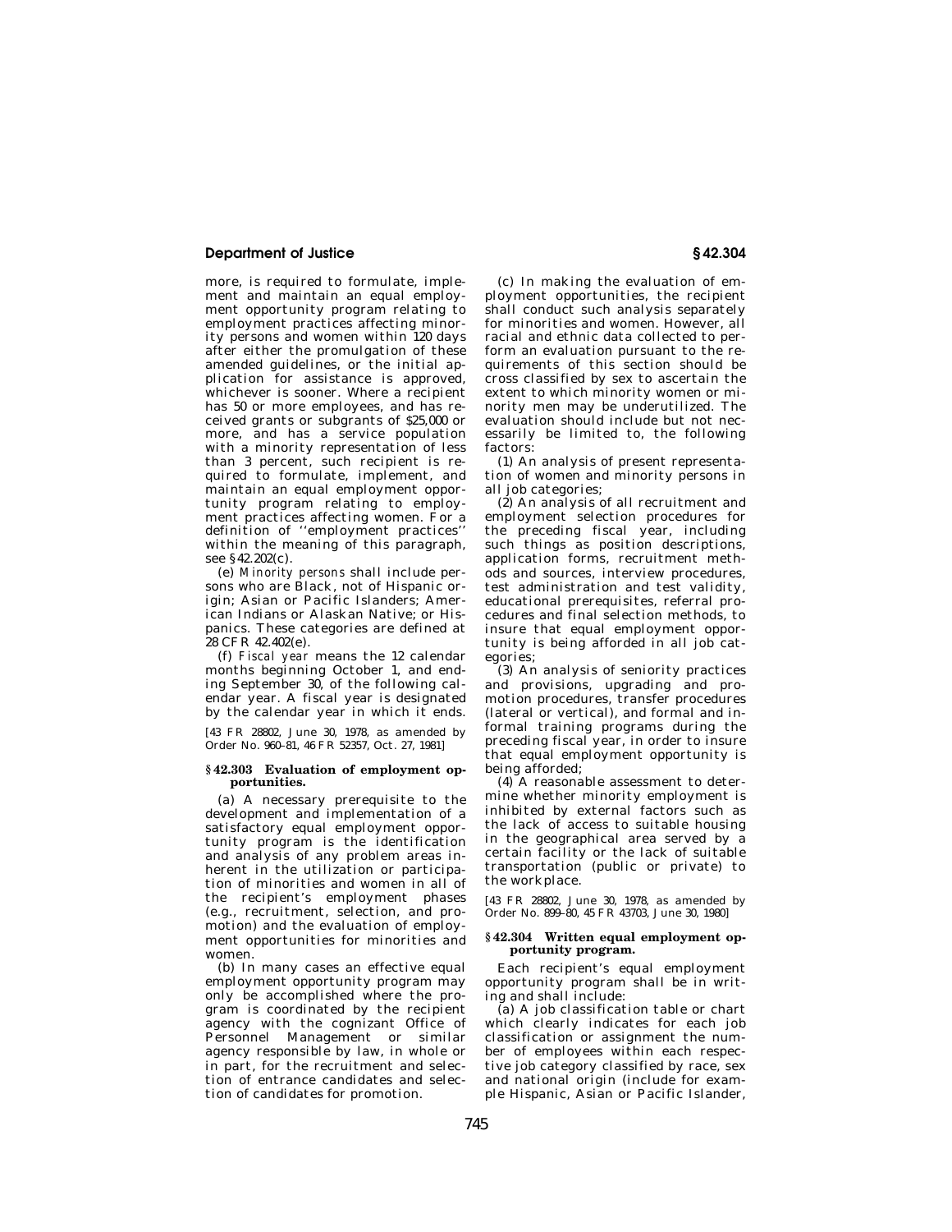## **Department of Justice § 42.304**

more, is required to formulate, implement and maintain an equal employment opportunity program relating to employment practices affecting minority persons and women within 120 days after either the promulgation of these amended guidelines, or the initial application for assistance is approved, whichever is sooner. Where a recipient has 50 or more employees, and has received grants or subgrants of \$25,000 or more, and has a service population with a minority representation of less than 3 percent, such recipient is required to formulate, implement, and maintain an equal employment opportunity program relating to employment practices affecting women. For a definition of ''employment practices'' within the meaning of this paragraph, see §42.202(c).

(e) *Minority persons* shall include persons who are Black, not of Hispanic origin; Asian or Pacific Islanders; American Indians or Alaskan Native; or Hispanics. These categories are defined at 28 CFR 42.402(e).

(f) *Fiscal year* means the 12 calendar months beginning October 1, and ending September 30, of the following calendar year. A fiscal year is designated by the calendar year in which it ends.

[43 FR 28802, June 30, 1978, as amended by Order No. 960–81, 46 FR 52357, Oct. 27, 1981]

## **§ 42.303 Evaluation of employment opportunities.**

(a) A necessary prerequisite to the development and implementation of a satisfactory equal employment opportunity program is the identification and analysis of any problem areas inherent in the utilization or participation of minorities and women in all of the recipient's employment phases (e.g., recruitment, selection, and promotion) and the evaluation of employment opportunities for minorities and women.

(b) In many cases an effective equal employment opportunity program may only be accomplished where the program is coordinated by the recipient agency with the cognizant Office of Personnel Management or similar agency responsible by law, in whole or in part, for the recruitment and selection of entrance candidates and selection of candidates for promotion.

(c) In making the evaluation of employment opportunities, the recipient shall conduct such analysis separately for minorities and women. However, all racial and ethnic data collected to perform an evaluation pursuant to the requirements of this section should be cross classified by sex to ascertain the extent to which minority women or minority men may be underutilized. The evaluation should include but not necessarily be limited to, the following factors:

(1) An analysis of present representation of women and minority persons in all job categories;

(2) An analysis of all recruitment and employment selection procedures for the preceding fiscal year, including such things as position descriptions, application forms, recruitment methods and sources, interview procedures, test administration and test validity, educational prerequisites, referral procedures and final selection methods, to insure that equal employment opportunity is being afforded in all job categories;

(3) An analysis of seniority practices and provisions, upgrading and promotion procedures, transfer procedures (lateral or vertical), and formal and informal training programs during the preceding fiscal year, in order to insure that equal employment opportunity is being afforded;

(4) A reasonable assessment to determine whether minority employment is inhibited by external factors such as the lack of access to suitable housing in the geographical area served by  $a$ certain facility or the lack of suitable transportation (public or private) to the workplace.

[43 FR 28802, June 30, 1978, as amended by Order No. 899–80, 45 FR 43703, June 30, 1980]

### **§ 42.304 Written equal employment opportunity program.**

Each recipient's equal employment opportunity program shall be in writing and shall include:

(a) A job classification table or chart which clearly indicates for each job classification or assignment the number of employees within each respective job category classified by race, sex and national origin (include for example Hispanic, Asian or Pacific Islander,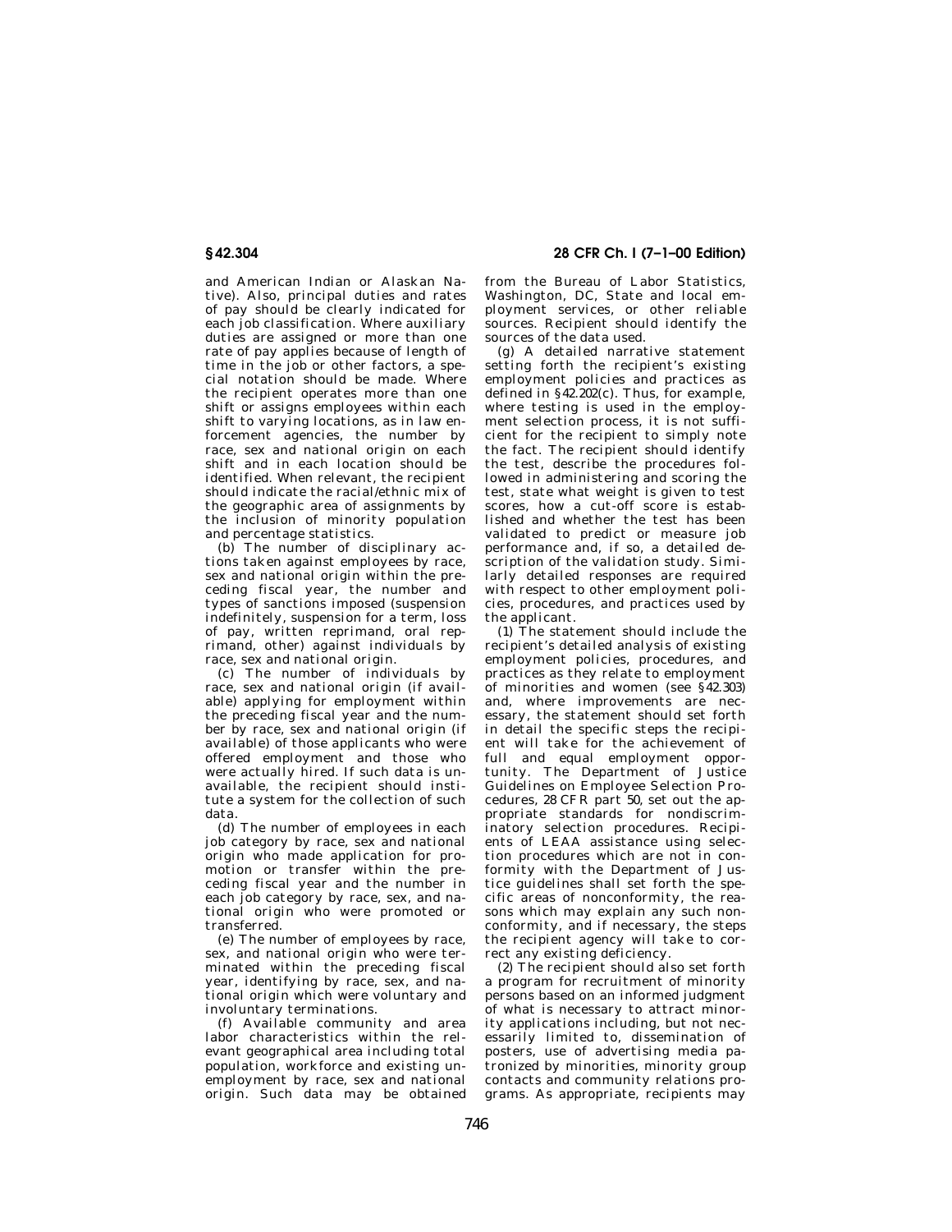and American Indian or Alaskan Native). Also, principal duties and rates of pay should be clearly indicated for each job classification. Where auxiliary duties are assigned or more than one rate of pay applies because of length of time in the job or other factors, a special notation should be made. Where the recipient operates more than one shift or assigns employees within each shift to varying locations, as in law enforcement agencies, the number by race, sex and national origin on each shift and in each location should be identified. When relevant, the recipient should indicate the racial/ethnic mix of the geographic area of assignments by the inclusion of minority population and percentage statistics.

(b) The number of disciplinary actions taken against employees by race, sex and national origin within the preceding fiscal year, the number and types of sanctions imposed (suspension indefinitely, suspension for a term, loss of pay, written reprimand, oral reprimand, other) against individuals by race, sex and national origin.

(c) The number of individuals by race, sex and national origin (if available) applying for employment within the preceding fiscal year and the number by race, sex and national origin (if available) of those applicants who were offered employment and those who were actually hired. If such data is unavailable, the recipient should institute a system for the collection of such data.

(d) The number of employees in each job category by race, sex and national origin who made application for promotion or transfer within the preceding fiscal year and the number in each job category by race, sex, and national origin who were promoted or transferred.

(e) The number of employees by race, sex, and national origin who were terminated within the preceding fiscal year, identifying by race, sex, and national origin which were voluntary and involuntary terminations.

(f) Available community and area labor characteristics within the relevant geographical area including total population, workforce and existing unemployment by race, sex and national origin. Such data may be obtained

**§ 42.304 28 CFR Ch. I (7–1–00 Edition)**

from the Bureau of Labor Statistics, Washington, DC, State and local employment services, or other reliable sources. Recipient should identify the sources of the data used.

(g) A detailed narrative statement setting forth the recipient's existing employment policies and practices as defined in §42.202(c). Thus, for example, where testing is used in the employment selection process, it is not sufficient for the recipient to simply note the fact. The recipient should identify the test, describe the procedures followed in administering and scoring the test, state what weight is given to test scores, how a cut-off score is established and whether the test has been validated to predict or measure job performance and, if so, a detailed description of the validation study. Similarly detailed responses are required with respect to other employment policies, procedures, and practices used by the applicant.

(1) The statement should include the recipient's detailed analysis of existing employment policies, procedures, and practices as they relate to employment of minorities and women (see §42.303) and, where improvements are necessary, the statement should set forth in detail the specific steps the recipient will take for the achievement of full and equal employment opportunity. The Department of Justice Guidelines on Employee Selection Procedures, 28 CFR part 50, set out the appropriate standards for nondiscriminatory selection procedures. Recipients of LEAA assistance using selection procedures which are not in conformity with the Department of Justice guidelines shall set forth the specific areas of nonconformity, the reasons which may explain any such nonconformity, and if necessary, the steps the recipient agency will take to correct any existing deficiency.

(2) The recipient should also set forth a program for recruitment of minority persons based on an informed judgment of what is necessary to attract minority applications including, but not necessarily limited to, dissemination of posters, use of advertising media patronized by minorities, minority group contacts and community relations programs. As appropriate, recipients may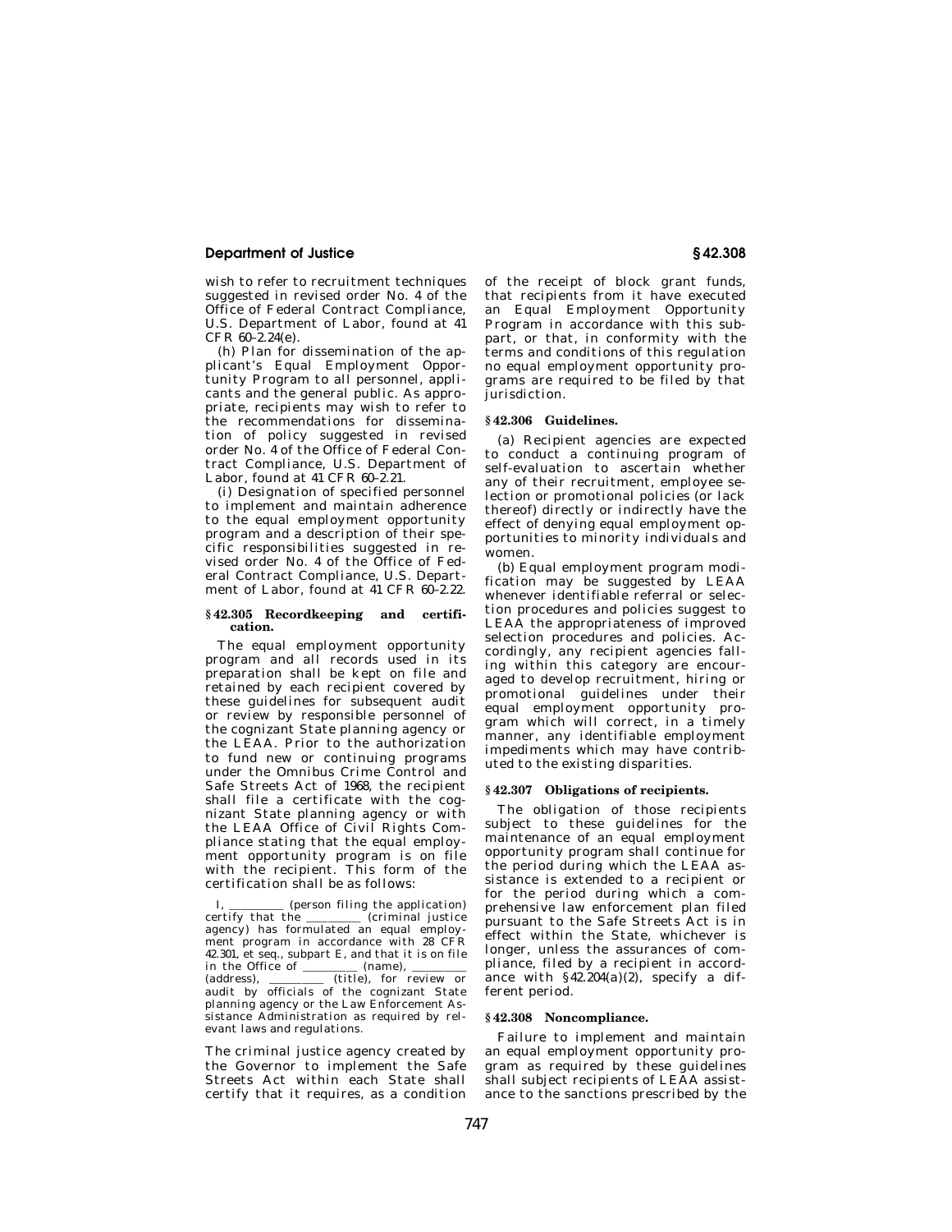# **Department of Justice § 42.308**

wish to refer to recruitment techniques suggested in revised order No. 4 of the Office of Federal Contract Compliance, U.S. Department of Labor, found at 41  $CFR$  60– $2.24(e)$ .

(h) Plan for dissemination of the applicant's Equal Employment Oppor-.<br>tunity Program to all personnel, applicants and the general public. As appropriate, recipients may wish to refer to the recommendations for dissemination of policy suggested in revised order No. 4 of the Office of Federal Contract Compliance, U.S. Department of Labor, found at  $41$  CFR  $60-2.21$ .

(i) Designation of specified personnel to implement and maintain adherence to the equal employment opportunity program and a description of their specific responsibilities suggested in revised order No. 4 of the Office of Federal Contract Compliance, U.S. Department of Labor, found at 41 CFR 60-2.22.

#### **§ 42.305 Recordkeeping and certification.**

The equal employment opportunity program and all records used in its preparation shall be kept on file and retained by each recipient covered by these guidelines for subsequent audit or review by responsible personnel of the cognizant State planning agency or the LEAA. Prior to the authorization to fund new or continuing programs under the Omnibus Crime Control and Safe Streets Act of 1968, the recipient shall file a certificate with the cognizant State planning agency or with the LEAA Office of Civil Rights Compliance stating that the equal employment opportunity program is on file with the recipient. This form of the certification shall be as follows:

I, \_\_\_\_\_\_\_\_ (person filing the application) certify that the  $\frac{d}{dx}$  (criminal justice agency) has formulated an equal employment program in accordance with 28 CFR 42.301, et seq., subpart E, and that it is on file<br>in the Office of  $\frac{\ }{\ }$  (name),  $\frac{\ }{\ }$ in the Office of  $\_\_\_\_\_\_$  (name),  $\_\_\_\_\_\_\_\_\_$ (address), \_\_\_\_\_\_\_ (title), for review or audit by officials of the cognizant State planning agency or the Law Enforcement Assistance Administration as required by relevant laws and regulations.

The criminal justice agency created by the Governor to implement the Safe Streets Act within each State shall certify that it requires, as a condition

of the receipt of block grant funds, that recipients from it have executed an Equal Employment Opportunity Program in accordance with this subpart, or that, in conformity with the terms and conditions of this regulation no equal employment opportunity programs are required to be filed by that jurisdiction.

# **§ 42.306 Guidelines.**

(a) Recipient agencies are expected to conduct a continuing program of self-evaluation to ascertain whether any of their recruitment, employee selection or promotional policies (or lack thereof) directly or indirectly have the effect of denying equal employment opportunities to minority individuals and women.

(b) Equal employment program modification may be suggested by LEAA whenever identifiable referral or selection procedures and policies suggest to LEAA the appropriateness of improved selection procedures and policies. Accordingly, any recipient agencies falling within this category are encouraged to develop recruitment, hiring or promotional guidelines under their equal employment opportunity program which will correct, in a timely manner, any identifiable employment impediments which may have contributed to the existing disparities.

### **§ 42.307 Obligations of recipients.**

The obligation of those recipients subject to these guidelines for the maintenance of an equal employment opportunity program shall continue for the period during which the LEAA assistance is extended to a recipient or for the period during which a comprehensive law enforcement plan filed pursuant to the Safe Streets Act is in effect within the State, whichever is longer, unless the assurances of compliance, filed by a recipient in accordance with  $§42.204(a)(2)$ , specify a different period.

## **§ 42.308 Noncompliance.**

Failure to implement and maintain an equal employment opportunity program as required by these guidelines shall subject recipients of LEAA assistance to the sanctions prescribed by the